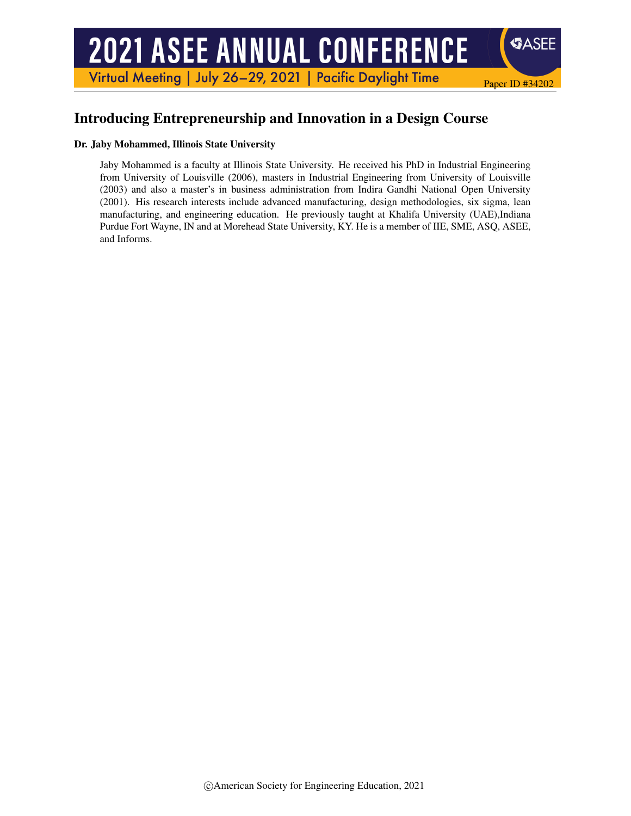# **2021 ASEE ANNUAL CONFERENCE**

Virtual Meeting | July 26-29, 2021 | Pacific Daylight Time

# Introducing Entrepreneurship and Innovation in a Design Course

#### Dr. Jaby Mohammed, Illinois State University

Jaby Mohammed is a faculty at Illinois State University. He received his PhD in Industrial Engineering from University of Louisville (2006), masters in Industrial Engineering from University of Louisville (2003) and also a master's in business administration from Indira Gandhi National Open University (2001). His research interests include advanced manufacturing, design methodologies, six sigma, lean manufacturing, and engineering education. He previously taught at Khalifa University (UAE),Indiana Purdue Fort Wayne, IN and at Morehead State University, KY. He is a member of IIE, SME, ASQ, ASEE, and Informs.

Paper ID #34202

**SASEE**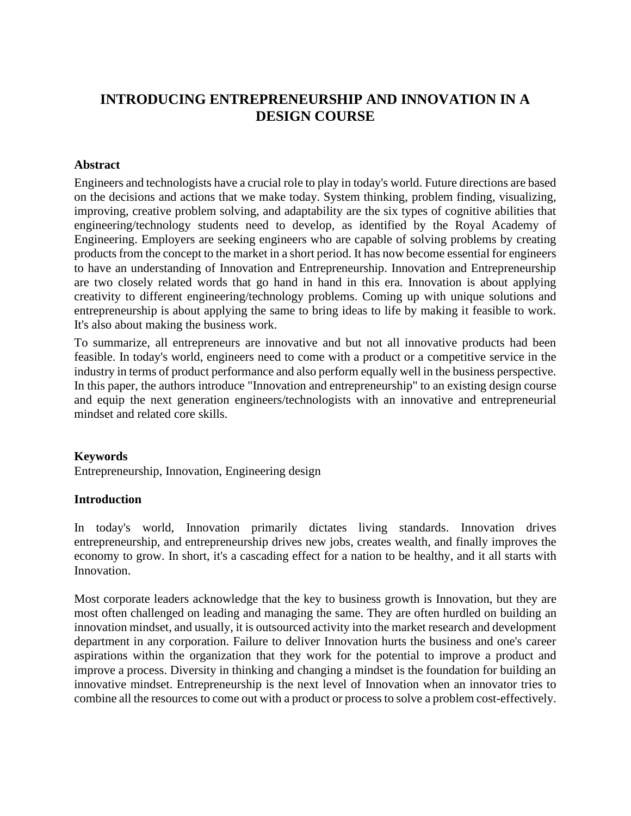## **INTRODUCING ENTREPRENEURSHIP AND INNOVATION IN A DESIGN COURSE**

#### **Abstract**

Engineers and technologists have a crucial role to play in today's world. Future directions are based on the decisions and actions that we make today. System thinking, problem finding, visualizing, improving, creative problem solving, and adaptability are the six types of cognitive abilities that engineering/technology students need to develop, as identified by the Royal Academy of Engineering. Employers are seeking engineers who are capable of solving problems by creating products from the concept to the market in a short period. It has now become essential for engineers to have an understanding of Innovation and Entrepreneurship. Innovation and Entrepreneurship are two closely related words that go hand in hand in this era. Innovation is about applying creativity to different engineering/technology problems. Coming up with unique solutions and entrepreneurship is about applying the same to bring ideas to life by making it feasible to work. It's also about making the business work.

To summarize, all entrepreneurs are innovative and but not all innovative products had been feasible. In today's world, engineers need to come with a product or a competitive service in the industry in terms of product performance and also perform equally well in the business perspective. In this paper, the authors introduce "Innovation and entrepreneurship" to an existing design course and equip the next generation engineers/technologists with an innovative and entrepreneurial mindset and related core skills.

#### **Keywords**

Entrepreneurship, Innovation, Engineering design

#### **Introduction**

In today's world, Innovation primarily dictates living standards. Innovation drives entrepreneurship, and entrepreneurship drives new jobs, creates wealth, and finally improves the economy to grow. In short, it's a cascading effect for a nation to be healthy, and it all starts with Innovation.

Most corporate leaders acknowledge that the key to business growth is Innovation, but they are most often challenged on leading and managing the same. They are often hurdled on building an innovation mindset, and usually, it is outsourced activity into the market research and development department in any corporation. Failure to deliver Innovation hurts the business and one's career aspirations within the organization that they work for the potential to improve a product and improve a process. Diversity in thinking and changing a mindset is the foundation for building an innovative mindset. Entrepreneurship is the next level of Innovation when an innovator tries to combine all the resources to come out with a product or process to solve a problem cost-effectively.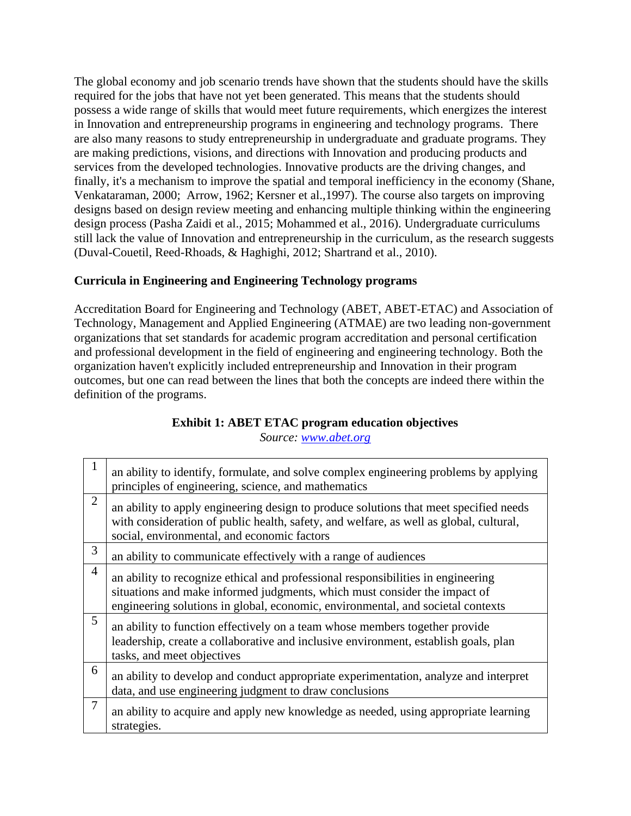The global economy and job scenario trends have shown that the students should have the skills required for the jobs that have not yet been generated. This means that the students should possess a wide range of skills that would meet future requirements, which energizes the interest in Innovation and entrepreneurship programs in engineering and technology programs. There are also many reasons to study entrepreneurship in undergraduate and graduate programs. They are making predictions, visions, and directions with Innovation and producing products and services from the developed technologies. Innovative products are the driving changes, and finally, it's a mechanism to improve the spatial and temporal inefficiency in the economy (Shane, Venkataraman, 2000; Arrow, 1962; Kersner et al.,1997). The course also targets on improving designs based on design review meeting and enhancing multiple thinking within the engineering design process (Pasha Zaidi et al., 2015; Mohammed et al., 2016). Undergraduate curriculums still lack the value of Innovation and entrepreneurship in the curriculum, as the research suggests (Duval-Couetil, Reed-Rhoads, & Haghighi, 2012; Shartrand et al., 2010).

## **Curricula in Engineering and Engineering Technology programs**

Accreditation Board for Engineering and Technology (ABET, ABET-ETAC) and Association of Technology, Management and Applied Engineering (ATMAE) are two leading non-government organizations that set standards for academic program accreditation and personal certification and professional development in the field of engineering and engineering technology. Both the organization haven't explicitly included entrepreneurship and Innovation in their program outcomes, but one can read between the lines that both the concepts are indeed there within the definition of the programs.

### **Exhibit 1: ABET ETAC program education objectives**

*Source: [www.abet.org](http://www.abet.org/)*

| 1              | an ability to identify, formulate, and solve complex engineering problems by applying<br>principles of engineering, science, and mathematics                                                                                                     |
|----------------|--------------------------------------------------------------------------------------------------------------------------------------------------------------------------------------------------------------------------------------------------|
| $\overline{2}$ | an ability to apply engineering design to produce solutions that meet specified needs<br>with consideration of public health, safety, and welfare, as well as global, cultural,<br>social, environmental, and economic factors                   |
| 3              | an ability to communicate effectively with a range of audiences                                                                                                                                                                                  |
| $\overline{4}$ | an ability to recognize ethical and professional responsibilities in engineering<br>situations and make informed judgments, which must consider the impact of<br>engineering solutions in global, economic, environmental, and societal contexts |
| 5              | an ability to function effectively on a team whose members together provide<br>leadership, create a collaborative and inclusive environment, establish goals, plan<br>tasks, and meet objectives                                                 |
| 6              | an ability to develop and conduct appropriate experimentation, analyze and interpret<br>data, and use engineering judgment to draw conclusions                                                                                                   |
| $\overline{7}$ | an ability to acquire and apply new knowledge as needed, using appropriate learning<br>strategies.                                                                                                                                               |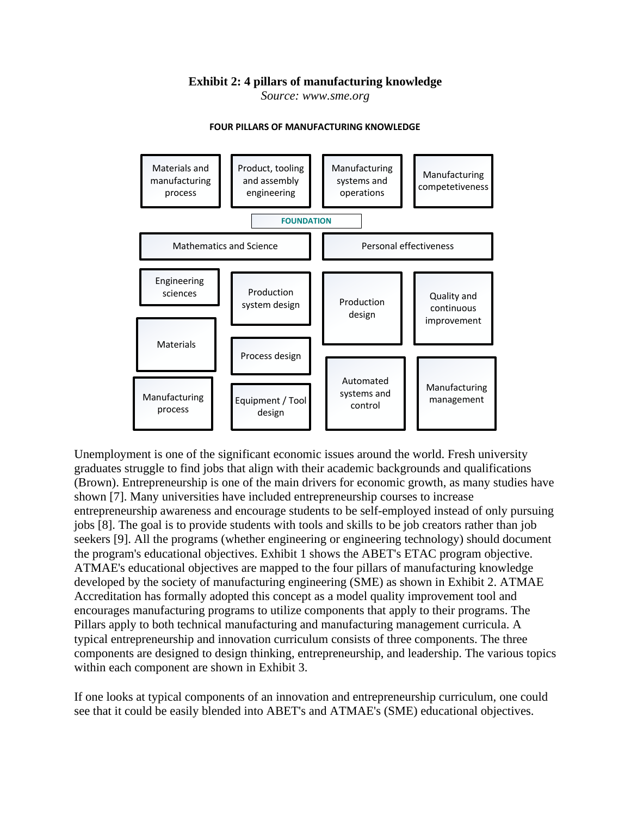#### **Exhibit 2: 4 pillars of manufacturing knowledge**

*Source: www.sme.org*



#### **FOUR PILLARS OF MANUFACTURING KNOWLEDGE**

Unemployment is one of the significant economic issues around the world. Fresh university graduates struggle to find jobs that align with their academic backgrounds and qualifications (Brown). Entrepreneurship is one of the main drivers for economic growth, as many studies have shown [7]. Many universities have included entrepreneurship courses to increase entrepreneurship awareness and encourage students to be self-employed instead of only pursuing jobs [8]. The goal is to provide students with tools and skills to be job creators rather than job seekers [9]. All the programs (whether engineering or engineering technology) should document the program's educational objectives. Exhibit 1 shows the ABET's ETAC program objective. ATMAE's educational objectives are mapped to the four pillars of manufacturing knowledge developed by the society of manufacturing engineering (SME) as shown in Exhibit 2. ATMAE Accreditation has formally adopted this concept as a model quality improvement tool and encourages manufacturing programs to utilize components that apply to their programs. The Pillars apply to both technical manufacturing and manufacturing management curricula. A typical entrepreneurship and innovation curriculum consists of three components. The three components are designed to design thinking, entrepreneurship, and leadership. The various topics within each component are shown in Exhibit 3.

If one looks at typical components of an innovation and entrepreneurship curriculum, one could see that it could be easily blended into ABET's and ATMAE's (SME) educational objectives.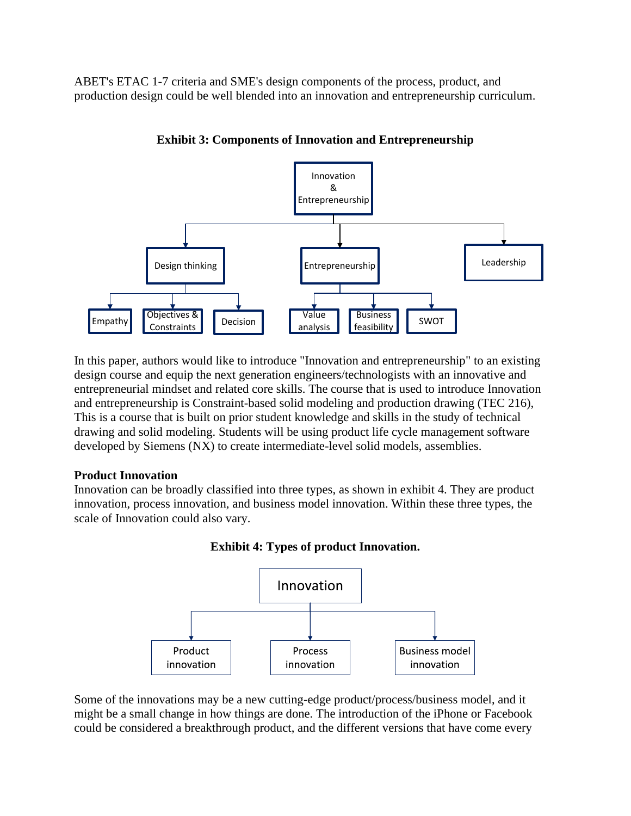ABET's ETAC 1-7 criteria and SME's design components of the process, product, and production design could be well blended into an innovation and entrepreneurship curriculum.



**Exhibit 3: Components of Innovation and Entrepreneurship**

In this paper, authors would like to introduce "Innovation and entrepreneurship" to an existing design course and equip the next generation engineers/technologists with an innovative and entrepreneurial mindset and related core skills. The course that is used to introduce Innovation and entrepreneurship is Constraint-based solid modeling and production drawing (TEC 216), This is a course that is built on prior student knowledge and skills in the study of technical drawing and solid modeling. Students will be using product life cycle management software developed by Siemens (NX) to create intermediate-level solid models, assemblies.

#### **Product Innovation**

Innovation can be broadly classified into three types, as shown in exhibit 4. They are product innovation, process innovation, and business model innovation. Within these three types, the scale of Innovation could also vary.





Some of the innovations may be a new cutting-edge product/process/business model, and it might be a small change in how things are done. The introduction of the iPhone or Facebook could be considered a breakthrough product, and the different versions that have come every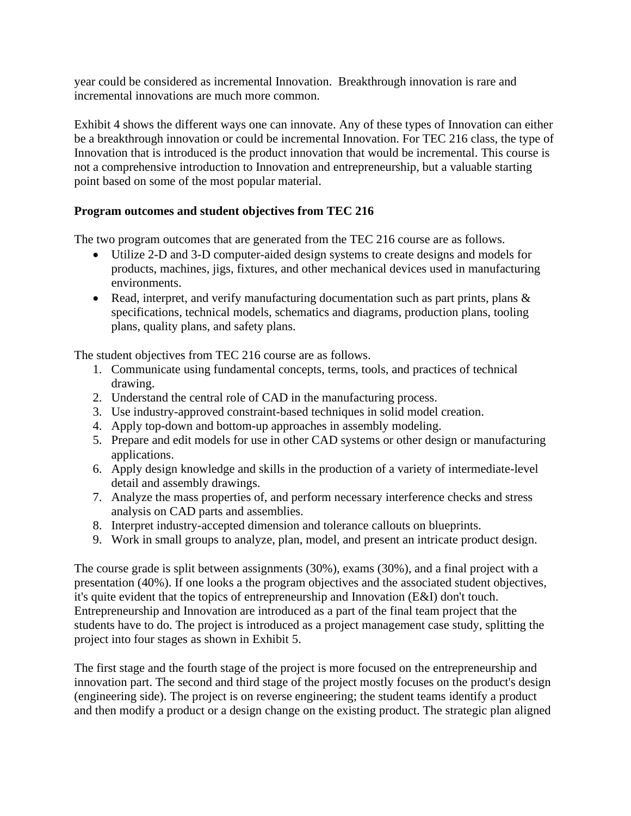year could be considered as incremental Innovation. Breakthrough innovation is rare and incremental innovations are much more common.

Exhibit 4 shows the different ways one can innovate. Any of these types of Innovation can either be a breakthrough innovation or could be incremental Innovation. For TEC 216 class, the type of Innovation that is introduced is the product innovation that would be incremental. This course is not a comprehensive introduction to Innovation and entrepreneurship, but a valuable starting point based on some of the most popular material.

#### **Program outcomes and student objectives from TEC 216**

The two program outcomes that are generated from the TEC 216 course are as follows.

- Utilize 2-D and 3-D computer-aided design systems to create designs and models for products, machines, jigs, fixtures, and other mechanical devices used in manufacturing environments.
- Read, interpret, and verify manufacturing documentation such as part prints, plans & specifications, technical models, schematics and diagrams, production plans, tooling plans, quality plans, and safety plans.

The student objectives from TEC 216 course are as follows.

- 1. Communicate using fundamental concepts, terms, tools, and practices of technical drawing.
- 2. Understand the central role of CAD in the manufacturing process.
- 3. Use industry-approved constraint-based techniques in solid model creation.
- 4. Apply top-down and bottom-up approaches in assembly modeling.
- 5. Prepare and edit models for use in other CAD systems or other design or manufacturing applications.
- 6. Apply design knowledge and skills in the production of a variety of intermediate-level detail and assembly drawings.
- 7. Analyze the mass properties of, and perform necessary interference checks and stress analysis on CAD parts and assemblies.
- 8. Interpret industry-accepted dimension and tolerance callouts on blueprints.
- 9. Work in small groups to analyze, plan, model, and present an intricate product design.

The course grade is split between assignments (30%), exams (30%), and a final project with a presentation (40%). If one looks a the program objectives and the associated student objectives, it's quite evident that the topics of entrepreneurship and Innovation (E&I) don't touch. Entrepreneurship and Innovation are introduced as a part of the final team project that the students have to do. The project is introduced as a project management case study, splitting the project into four stages as shown in Exhibit 5.

The first stage and the fourth stage of the project is more focused on the entrepreneurship and innovation part. The second and third stage of the project mostly focuses on the product's design (engineering side). The project is on reverse engineering; the student teams identify a product and then modify a product or a design change on the existing product. The strategic plan aligned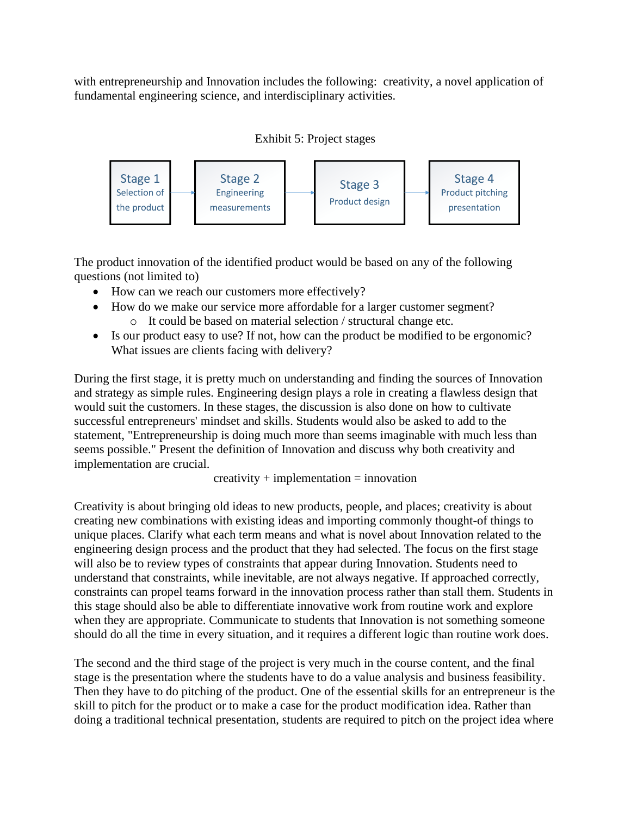with entrepreneurship and Innovation includes the following: creativity, a novel application of fundamental engineering science, and interdisciplinary activities.





The product innovation of the identified product would be based on any of the following questions (not limited to)

- How can we reach our customers more effectively?
- How do we make our service more affordable for a larger customer segment? o It could be based on material selection / structural change etc.
- Is our product easy to use? If not, how can the product be modified to be ergonomic? What issues are clients facing with delivery?

During the first stage, it is pretty much on understanding and finding the sources of Innovation and strategy as simple rules. Engineering design plays a role in creating a flawless design that would suit the customers. In these stages, the discussion is also done on how to cultivate successful entrepreneurs' mindset and skills. Students would also be asked to add to the statement, "Entrepreneurship is doing much more than seems imaginable with much less than seems possible." Present the definition of Innovation and discuss why both creativity and implementation are crucial.

 $c$ reativity + implementation = innovation

Creativity is about bringing old ideas to new products, people, and places; creativity is about creating new combinations with existing ideas and importing commonly thought-of things to unique places. Clarify what each term means and what is novel about Innovation related to the engineering design process and the product that they had selected. The focus on the first stage will also be to review types of constraints that appear during Innovation. Students need to understand that constraints, while inevitable, are not always negative. If approached correctly, constraints can propel teams forward in the innovation process rather than stall them. Students in this stage should also be able to differentiate innovative work from routine work and explore when they are appropriate. Communicate to students that Innovation is not something someone should do all the time in every situation, and it requires a different logic than routine work does.

The second and the third stage of the project is very much in the course content, and the final stage is the presentation where the students have to do a value analysis and business feasibility. Then they have to do pitching of the product. One of the essential skills for an entrepreneur is the skill to pitch for the product or to make a case for the product modification idea. Rather than doing a traditional technical presentation, students are required to pitch on the project idea where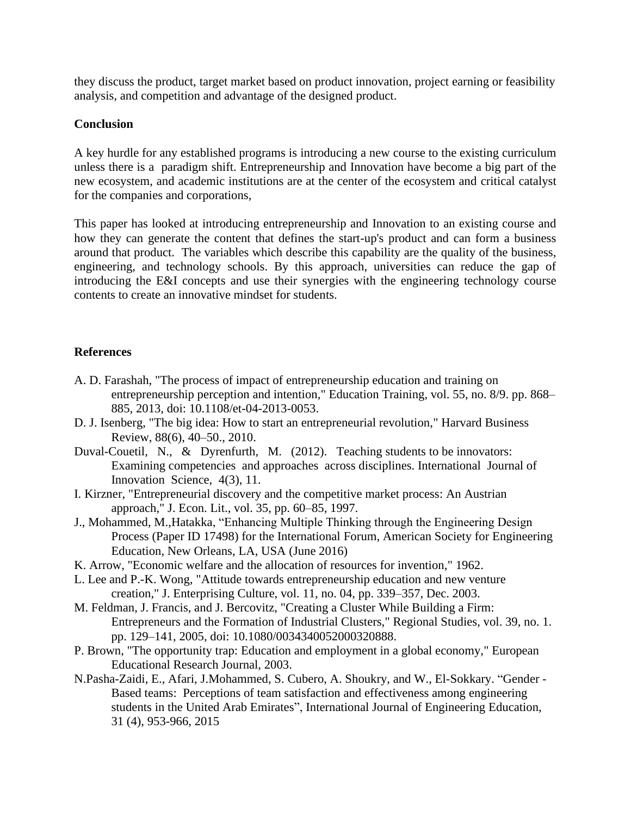they discuss the product, target market based on product innovation, project earning or feasibility analysis, and competition and advantage of the designed product.

#### **Conclusion**

A key hurdle for any established programs is introducing a new course to the existing curriculum unless there is a paradigm shift. Entrepreneurship and Innovation have become a big part of the new ecosystem, and academic institutions are at the center of the ecosystem and critical catalyst for the companies and corporations,

This paper has looked at introducing entrepreneurship and Innovation to an existing course and how they can generate the content that defines the start-up's product and can form a business around that product. The variables which describe this capability are the quality of the business, engineering, and technology schools. By this approach, universities can reduce the gap of introducing the E&I concepts and use their synergies with the engineering technology course contents to create an innovative mindset for students.

#### **References**

- A. D. Farashah, "The process of impact of entrepreneurship education and training on entrepreneurship perception and intention," Education Training, vol. 55, no. 8/9. pp. 868– 885, 2013, doi: 10.1108/et-04-2013-0053.
- D. J. Isenberg, "The big idea: How to start an entrepreneurial revolution," Harvard Business Review, 88(6), 40–50., 2010.
- Duval-Couetil, N., & Dyrenfurth, M. (2012). Teaching students to be innovators: Examining competencies and approaches across disciplines. International Journal of Innovation Science, 4(3), 11.
- I. Kirzner, "Entrepreneurial discovery and the competitive market process: An Austrian approach," J. Econ. Lit., vol. 35, pp. 60–85, 1997.
- J., Mohammed, M.,Hatakka, "Enhancing Multiple Thinking through the Engineering Design Process (Paper ID 17498) for the International Forum, American Society for Engineering Education, New Orleans, LA, USA (June 2016)
- K. Arrow, "Economic welfare and the allocation of resources for invention," 1962.
- L. Lee and P.-K. Wong, "Attitude towards entrepreneurship education and new venture creation," J. Enterprising Culture, vol. 11, no. 04, pp. 339–357, Dec. 2003.
- M. Feldman, J. Francis, and J. Bercovitz, "Creating a Cluster While Building a Firm: Entrepreneurs and the Formation of Industrial Clusters," Regional Studies, vol. 39, no. 1. pp. 129–141, 2005, doi: 10.1080/0034340052000320888.
- P. Brown, "The opportunity trap: Education and employment in a global economy," European Educational Research Journal, 2003.
- N.Pasha-Zaidi, E., Afari, J.Mohammed, S. Cubero, A. Shoukry, and W., El-Sokkary. "Gender Based teams: Perceptions of team satisfaction and effectiveness among engineering students in the United Arab Emirates", International Journal of Engineering Education, 31 (4), 953-966, 2015